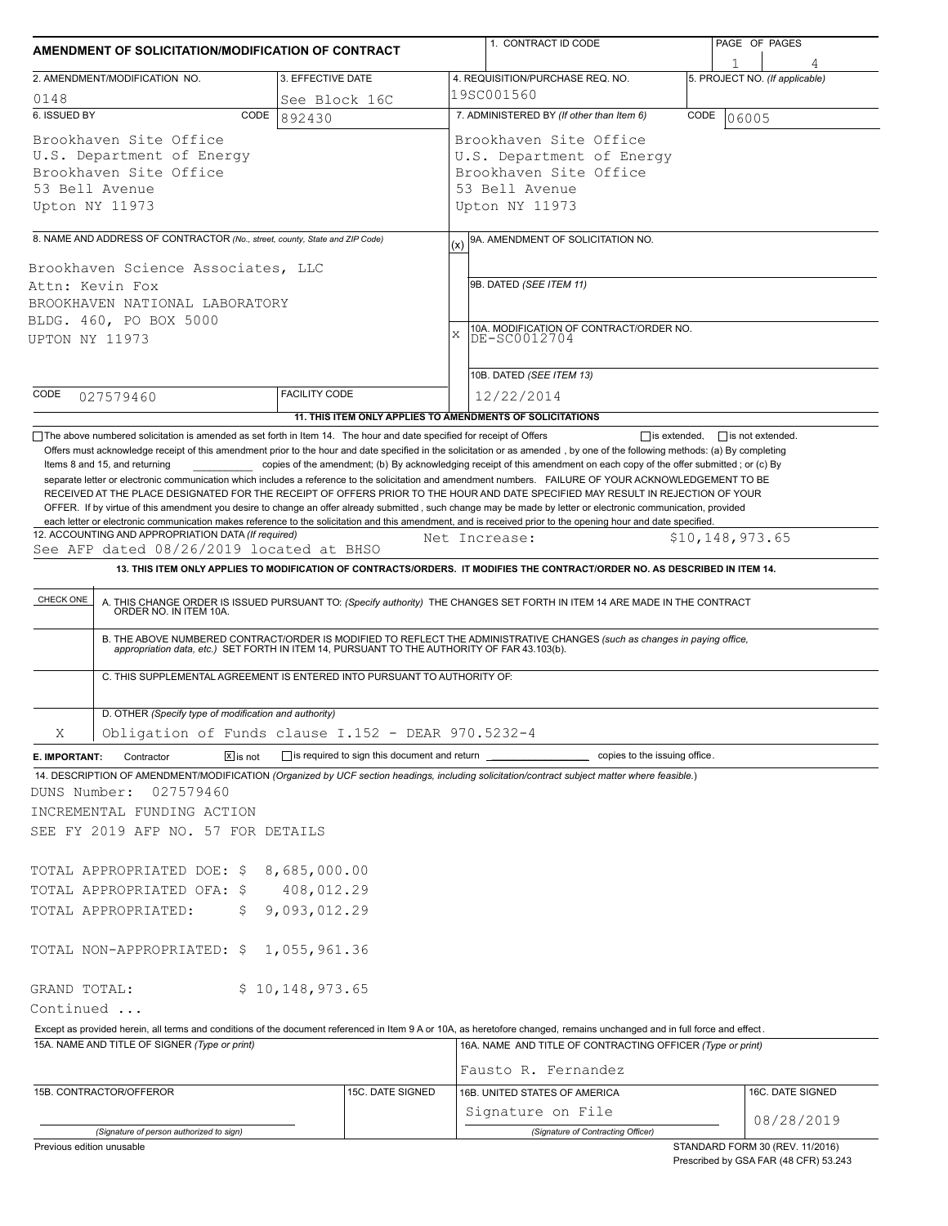| AMENDMENT OF SOLICITATION/MODIFICATION OF CONTRACT                                                                                                                                                                                                                                                                                                                                                                                                                                                                                                                                                                                |                                                                               |                                                     | 1. CONTRACT ID CODE                                                                                                                                                                                                                                                                                                                                                                                                                                                                                                       | PAGE OF PAGES                  |                                |
|-----------------------------------------------------------------------------------------------------------------------------------------------------------------------------------------------------------------------------------------------------------------------------------------------------------------------------------------------------------------------------------------------------------------------------------------------------------------------------------------------------------------------------------------------------------------------------------------------------------------------------------|-------------------------------------------------------------------------------|-----------------------------------------------------|---------------------------------------------------------------------------------------------------------------------------------------------------------------------------------------------------------------------------------------------------------------------------------------------------------------------------------------------------------------------------------------------------------------------------------------------------------------------------------------------------------------------------|--------------------------------|--------------------------------|
| 2. AMENDMENT/MODIFICATION NO.                                                                                                                                                                                                                                                                                                                                                                                                                                                                                                                                                                                                     |                                                                               |                                                     |                                                                                                                                                                                                                                                                                                                                                                                                                                                                                                                           |                                |                                |
|                                                                                                                                                                                                                                                                                                                                                                                                                                                                                                                                                                                                                                   | 3. EFFECTIVE DATE                                                             |                                                     | 4. REQUISITION/PURCHASE REQ. NO.<br>19SC001560                                                                                                                                                                                                                                                                                                                                                                                                                                                                            | 5. PROJECT NO. (If applicable) |                                |
| 0148<br>6. ISSUED BY<br>CODE                                                                                                                                                                                                                                                                                                                                                                                                                                                                                                                                                                                                      | See Block 16C<br>892430                                                       |                                                     | 7. ADMINISTERED BY (If other than Item 6)                                                                                                                                                                                                                                                                                                                                                                                                                                                                                 | CODE<br>06005                  |                                |
| Brookhaven Site Office<br>U.S. Department of Energy<br>Brookhaven Site Office<br>53 Bell Avenue<br>Upton NY 11973                                                                                                                                                                                                                                                                                                                                                                                                                                                                                                                 |                                                                               |                                                     | Brookhaven Site Office<br>U.S. Department of Energy<br>Brookhaven Site Office<br>53 Bell Avenue<br>Upton NY 11973                                                                                                                                                                                                                                                                                                                                                                                                         |                                |                                |
|                                                                                                                                                                                                                                                                                                                                                                                                                                                                                                                                                                                                                                   |                                                                               |                                                     |                                                                                                                                                                                                                                                                                                                                                                                                                                                                                                                           |                                |                                |
| 8. NAME AND ADDRESS OF CONTRACTOR (No., street, county, State and ZIP Code)                                                                                                                                                                                                                                                                                                                                                                                                                                                                                                                                                       |                                                                               | (x)                                                 | 9A. AMENDMENT OF SOLICITATION NO.                                                                                                                                                                                                                                                                                                                                                                                                                                                                                         |                                |                                |
| Brookhaven Science Associates, LLC<br>Attn: Kevin Fox<br>BROOKHAVEN NATIONAL LABORATORY<br>BLDG. 460, PO BOX 5000<br><b>UPTON NY 11973</b>                                                                                                                                                                                                                                                                                                                                                                                                                                                                                        |                                                                               | X                                                   | 9B. DATED (SEE ITEM 11)<br>10A. MODIFICATION OF CONTRACT/ORDER NO.<br>DE-SC0012704<br>10B. DATED (SEE ITEM 13)                                                                                                                                                                                                                                                                                                                                                                                                            |                                |                                |
| CODE                                                                                                                                                                                                                                                                                                                                                                                                                                                                                                                                                                                                                              | <b>FACILITY CODE</b>                                                          |                                                     |                                                                                                                                                                                                                                                                                                                                                                                                                                                                                                                           |                                |                                |
| 027579460                                                                                                                                                                                                                                                                                                                                                                                                                                                                                                                                                                                                                         |                                                                               |                                                     | 12/22/2014<br>11. THIS ITEM ONLY APPLIES TO AMENDMENTS OF SOLICITATIONS                                                                                                                                                                                                                                                                                                                                                                                                                                                   |                                |                                |
| each letter or electronic communication makes reference to the solicitation and this amendment, and is received prior to the opening hour and date specified.<br>12. ACCOUNTING AND APPROPRIATION DATA (If required)<br>See AFP dated 08/26/2019 located at BHSO<br>CHECK ONE                                                                                                                                                                                                                                                                                                                                                     |                                                                               |                                                     | Net Increase:<br>13. THIS ITEM ONLY APPLIES TO MODIFICATION OF CONTRACTS/ORDERS. IT MODIFIES THE CONTRACT/ORDER NO. AS DESCRIBED IN ITEM 14.<br>A. THIS CHANGE ORDER IS ISSUED PURSUANT TO: (Specify authority) THE CHANGES SET FORTH IN ITEM 14 ARE MADE IN THE CONTRACT ORDER NO. IN ITEM 10A.<br>B. THE ABOVE NUMBERED CONTRACT/ORDER IS MODIFIED TO REFLECT THE ADMINISTRATIVE CHANGES (such as changes in paying office, appropriation data, etc.) SET FORTH IN ITEM 14, PURSUANT TO THE AUTHORITY OF FAR 43.103(b). | \$10, 148, 973.65              |                                |
| C. THIS SUPPLEMENTAL AGREEMENT IS ENTERED INTO PURSUANT TO AUTHORITY OF:<br>D. OTHER (Specify type of modification and authority)                                                                                                                                                                                                                                                                                                                                                                                                                                                                                                 |                                                                               |                                                     |                                                                                                                                                                                                                                                                                                                                                                                                                                                                                                                           |                                |                                |
| Obligation of Funds clause I.152 - DEAR 970.5232-4<br>Χ                                                                                                                                                                                                                                                                                                                                                                                                                                                                                                                                                                           |                                                                               |                                                     |                                                                                                                                                                                                                                                                                                                                                                                                                                                                                                                           |                                |                                |
| $\boxed{\mathsf{X}}$ is not<br>Contractor<br>E. IMPORTANT:                                                                                                                                                                                                                                                                                                                                                                                                                                                                                                                                                                        |                                                                               | is required to sign this document and return ______ | copies to the issuing office.                                                                                                                                                                                                                                                                                                                                                                                                                                                                                             |                                |                                |
| 14. DESCRIPTION OF AMENDMENT/MODIFICATION (Organized by UCF section headings, including solicitation/contract subject matter where feasible.)<br>DUNS Number:<br>027579460<br>INCREMENTAL FUNDING ACTION<br>SEE FY 2019 AFP NO. 57 FOR DETAILS<br>TOTAL APPROPRIATED DOE: \$<br>TOTAL APPROPRIATED OFA: \$<br>TOTAL APPROPRIATED:<br>\$.<br>TOTAL NON-APPROPRIATED: \$<br>GRAND TOTAL:<br>Continued<br>Except as provided herein, all terms and conditions of the document referenced in Item 9 A or 10A, as heretofore changed, remains unchanged and in full force and effect.<br>15A. NAME AND TITLE OF SIGNER (Type or print) | 8,685,000.00<br>408,012.29<br>9,093,012.29<br>1,055,961.36<br>\$10,148,973.65 |                                                     | 16A. NAME AND TITLE OF CONTRACTING OFFICER (Type or print)                                                                                                                                                                                                                                                                                                                                                                                                                                                                |                                |                                |
|                                                                                                                                                                                                                                                                                                                                                                                                                                                                                                                                                                                                                                   |                                                                               |                                                     | Fausto R. Fernandez                                                                                                                                                                                                                                                                                                                                                                                                                                                                                                       |                                |                                |
| 15B. CONTRACTOR/OFFEROR                                                                                                                                                                                                                                                                                                                                                                                                                                                                                                                                                                                                           |                                                                               | 15C. DATE SIGNED                                    | 16B. UNITED STATES OF AMERICA<br>Signature on File                                                                                                                                                                                                                                                                                                                                                                                                                                                                        |                                | 16C. DATE SIGNED<br>08/28/2019 |
| (Signature of person authorized to sign)                                                                                                                                                                                                                                                                                                                                                                                                                                                                                                                                                                                          |                                                                               |                                                     | (Signature of Contracting Officer)                                                                                                                                                                                                                                                                                                                                                                                                                                                                                        |                                |                                |

Prescribed by GSA FAR (48 CFR) 53.243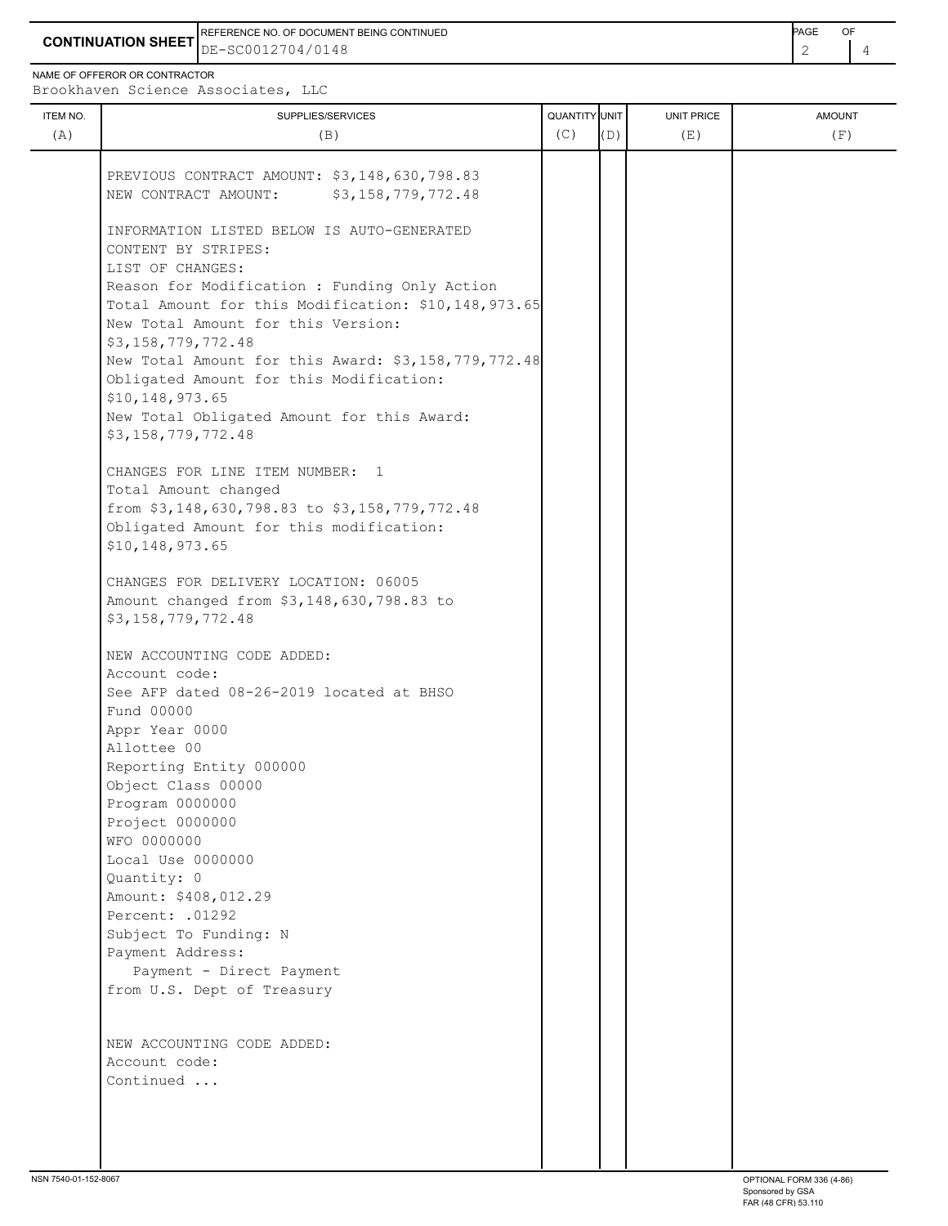**CONTINUATION SHEET** DE-SC0012704/0148 2 4 REFERENCE NO. OF DOCUMENT BEING CONTINUED **Example 2008** PAGE OF

NAME OF OFFEROR OR CONTRACTOR

Brookhaven Science Associates, LLC

| ITEM NO.<br>(A) | SUPPLIES/SERVICES<br>(B)                                                                   | QUANTITY UNIT<br>(C) | (D) | <b>UNIT PRICE</b><br>(E) | <b>AMOUNT</b><br>(F) |
|-----------------|--------------------------------------------------------------------------------------------|----------------------|-----|--------------------------|----------------------|
|                 |                                                                                            |                      |     |                          |                      |
|                 | PREVIOUS CONTRACT AMOUNT: \$3,148,630,798.83<br>NEW CONTRACT AMOUNT:<br>\$3,158,779,772.48 |                      |     |                          |                      |
|                 | INFORMATION LISTED BELOW IS AUTO-GENERATED                                                 |                      |     |                          |                      |
|                 | CONTENT BY STRIPES:                                                                        |                      |     |                          |                      |
|                 | LIST OF CHANGES:                                                                           |                      |     |                          |                      |
|                 | Reason for Modification : Funding Only Action                                              |                      |     |                          |                      |
|                 | Total Amount for this Modification: \$10,148,973.65                                        |                      |     |                          |                      |
|                 | New Total Amount for this Version:                                                         |                      |     |                          |                      |
|                 | \$3,158,779,772.48<br>New Total Amount for this Award: \$3,158,779,772.48                  |                      |     |                          |                      |
|                 | Obligated Amount for this Modification:                                                    |                      |     |                          |                      |
|                 | \$10,148,973.65                                                                            |                      |     |                          |                      |
|                 | New Total Obligated Amount for this Award:                                                 |                      |     |                          |                      |
|                 | \$3,158,779,772.48                                                                         |                      |     |                          |                      |
|                 | CHANGES FOR LINE ITEM NUMBER: 1                                                            |                      |     |                          |                      |
|                 | Total Amount changed                                                                       |                      |     |                          |                      |
|                 | from \$3,148,630,798.83 to \$3,158,779,772.48                                              |                      |     |                          |                      |
|                 | Obligated Amount for this modification:                                                    |                      |     |                          |                      |
|                 | \$10,148,973.65                                                                            |                      |     |                          |                      |
|                 | CHANGES FOR DELIVERY LOCATION: 06005                                                       |                      |     |                          |                      |
|                 | Amount changed from \$3,148,630,798.83 to                                                  |                      |     |                          |                      |
|                 | \$3,158,779,772.48                                                                         |                      |     |                          |                      |
|                 | NEW ACCOUNTING CODE ADDED:                                                                 |                      |     |                          |                      |
|                 | Account code:                                                                              |                      |     |                          |                      |
|                 | See AFP dated 08-26-2019 located at BHSO                                                   |                      |     |                          |                      |
|                 | Fund 00000                                                                                 |                      |     |                          |                      |
|                 | Appr Year 0000                                                                             |                      |     |                          |                      |
|                 | Allottee 00<br>Reporting Entity 000000                                                     |                      |     |                          |                      |
|                 | Object Class 00000                                                                         |                      |     |                          |                      |
|                 | Program 0000000                                                                            |                      |     |                          |                      |
|                 | Project 0000000                                                                            |                      |     |                          |                      |
|                 | WFO 0000000                                                                                |                      |     |                          |                      |
|                 | Local Use 0000000                                                                          |                      |     |                          |                      |
|                 | Quantity: 0                                                                                |                      |     |                          |                      |
|                 | Amount: \$408,012.29                                                                       |                      |     |                          |                      |
|                 | Percent: .01292                                                                            |                      |     |                          |                      |
|                 | Subject To Funding: N<br>Payment Address:                                                  |                      |     |                          |                      |
|                 | Payment - Direct Payment                                                                   |                      |     |                          |                      |
|                 | from U.S. Dept of Treasury                                                                 |                      |     |                          |                      |
|                 |                                                                                            |                      |     |                          |                      |
|                 | NEW ACCOUNTING CODE ADDED:                                                                 |                      |     |                          |                      |
|                 | Account code:                                                                              |                      |     |                          |                      |
|                 | Continued                                                                                  |                      |     |                          |                      |
|                 |                                                                                            |                      |     |                          |                      |
|                 |                                                                                            |                      |     |                          |                      |
|                 |                                                                                            |                      |     |                          |                      |
|                 |                                                                                            |                      |     |                          |                      |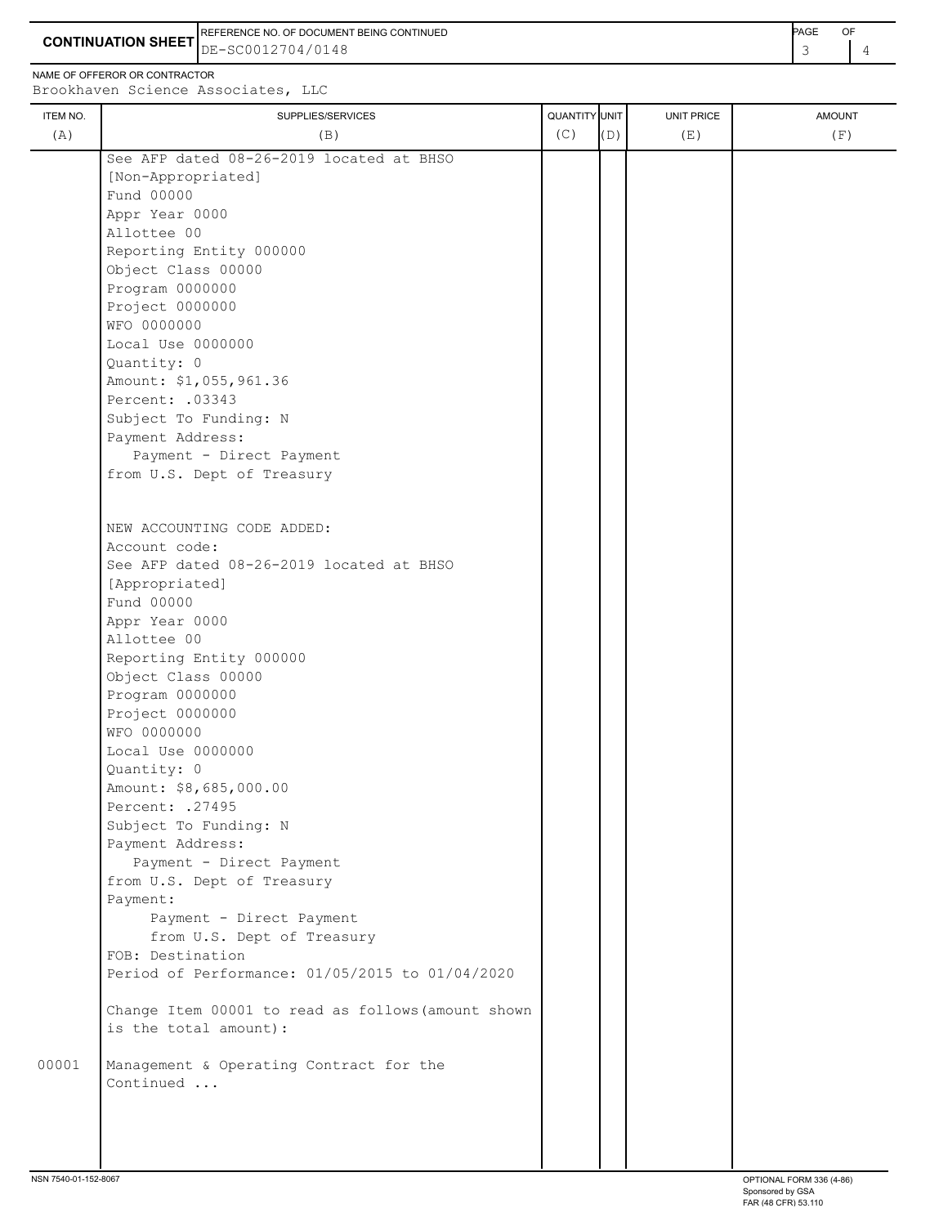**CONTINUATION SHEET** DE-SC0012704/0148 **And the set of the set of the set of the set of the set of the set of the set of the set of the set of the set of the set of the set of the set of the set of the set of the set of th** REFERENCE NO. OF DOCUMENT BEING CONTINUED **A CONTINUED PAGE OF PAGE OF PAGE OF PAGE** 

NAME OF OFFEROR OR CONTRACTOR

ITEM NO. ┃ SUPPLIES/SERVICES UNIT PRICE AMOUNT Brookhaven Science Associates, LLC (A)  $(B)$  (B)  $(C)$   $(D)$  (E)  $(E)$  (F) See AFP dated 08-26-2019 located at BHSO [Non-Appropriated] Fund 00000 Appr Year 0000 Allottee 00 Reporting Entity 000000 Object Class 00000 Program 0000000 Project 0000000 WFO 0000000 Local Use 0000000 Quantity: 0 Amount: \$1,055,961.36 Percent: .03343 Subject To Funding: N Payment Address: Payment - Direct Payment from U.S. Dept of Treasury NEW ACCOUNTING CODE ADDED: Account code: See AFP dated 08-26-2019 located at BHSO [Appropriated] Fund 00000 Appr Year 0000 Allottee 00 Reporting Entity 000000 Object Class 00000 Program 0000000 Project 0000000 WFO 0000000 Local Use 0000000 Quantity: 0 Amount: \$8,685,000.00 Percent: .27495 Subject To Funding: N Payment Address: Payment - Direct Payment from U.S. Dept of Treasury Payment: Payment - Direct Payment from U.S. Dept of Treasury FOB: Destination Period of Performance: 01/05/2015 to 01/04/2020 Change Item 00001 to read as follows(amount shown is the total amount): 00001 Management & Operating Contract for the Continued ...